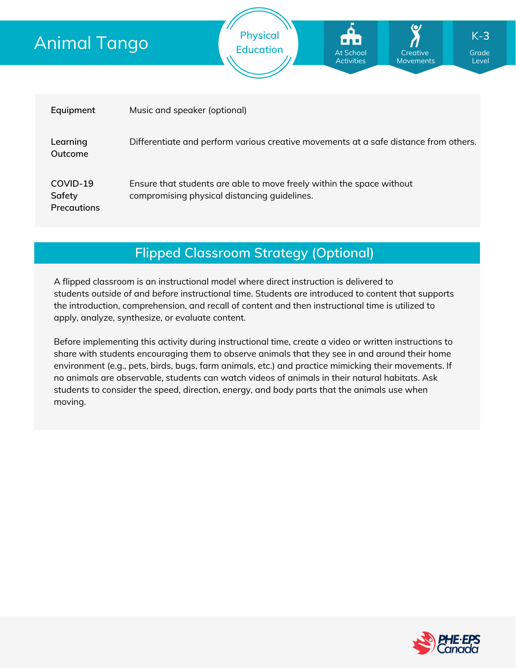# Animal Tango

| Equipment                                | Music and speaker (optional)                                                                                          |
|------------------------------------------|-----------------------------------------------------------------------------------------------------------------------|
| Learning<br>Outcome                      | Differentiate and perform various creative movements at a safe distance from others.                                  |
| COVID-19<br>Safety<br><b>Precautions</b> | Ensure that students are able to move freely within the space without<br>compromising physical distancing guidelines. |

**Physical**

**Education Grade** At School **Grade** Grade

At School Activities

**Creative** Movements

Level

K-**3**

**Flipped Classroom Strategy (Optional)**

A flipped classroom is an instructional model where direct instruction is delivered to students *outside of* and *before* instructional time. Students are introduced to content that supports the introduction, comprehension, and recall of content and then instructional time is utilized to apply, analyze, synthesize, or evaluate content.

Before implementing this activity during instructional time, create a video or written instructions to share with students encouraging them to observe animals that they see in and around their home environment (e.g., pets, birds, bugs, farm animals, etc.) and practice mimicking their movements. If no animals are observable, students can watch videos of animals in their natural habitats. Ask students to consider the speed, direction, energy, and body parts that the animals use when moving.

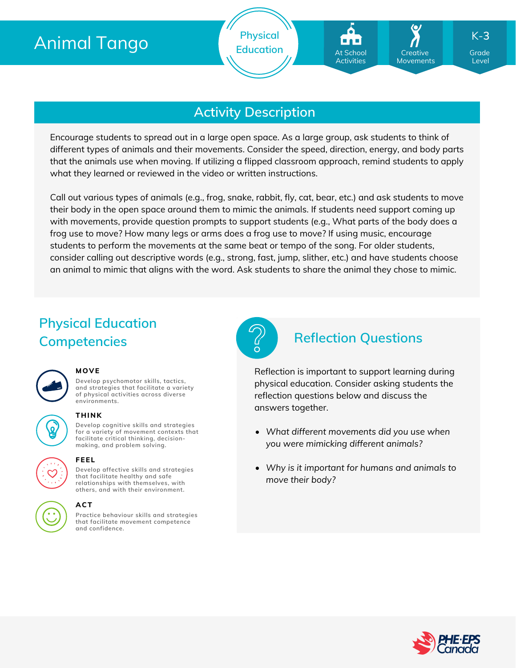# Animal Tango

**Physical Education Grade** At School **Grade** Creative Grade

## **Activity Description**

Encourage students to spread out in a large open space. As a large group, ask students to think of different types of animals and their movements. Consider the speed, direction, energy, and body parts that the animals use when moving. If utilizing a flipped classroom approach, remind students to apply what they learned or reviewed in the video or written instructions.

Call out various types of animals (e.g., frog, snake, rabbit, fly, cat, bear, etc.) and ask students to move their body in the open space around them to mimic the animals. If students need support coming up with movements, provide question prompts to support students (e.g., What parts of the body does a frog use to move? How many legs or arms does a frog use to move? If using music, encourage students to perform the movements at the same beat or tempo of the song. For older students, consider calling out descriptive words (e.g., strong, fast, jump, slither, etc.) and have students choose an animal to mimic that aligns with the word. Ask students to share the animal they chose to mimic.

## **Physical Education Competencies Reflection Questions**



#### **MOVE**

**Develop psychomotor skills, tactics, and strategies that facilitate a variety of physical activities across diverse environments.**

## **THINK**

**Develop cognitive skills and strategies for a variety of movement contexts that facilitate critical thinking, decision making, and problem solving.**



#### **FEEL**

**Develop affective skills and strategies that facilitate healthy and safe relationships with themselves, with others, and with their environment.**

#### **ACT**

**Practice behaviour skills and strategies that facilitate movement competence and confidence.**



Reflection is important to support learning during physical education. Consider asking students the reflection questions below and discuss the answers together.

- *What different movements did you use when you were mimicking different animals?*
- *Why is it important for humans and animals to move their body?*



Level

K-**3**

**Creative** Movements

At School Activities